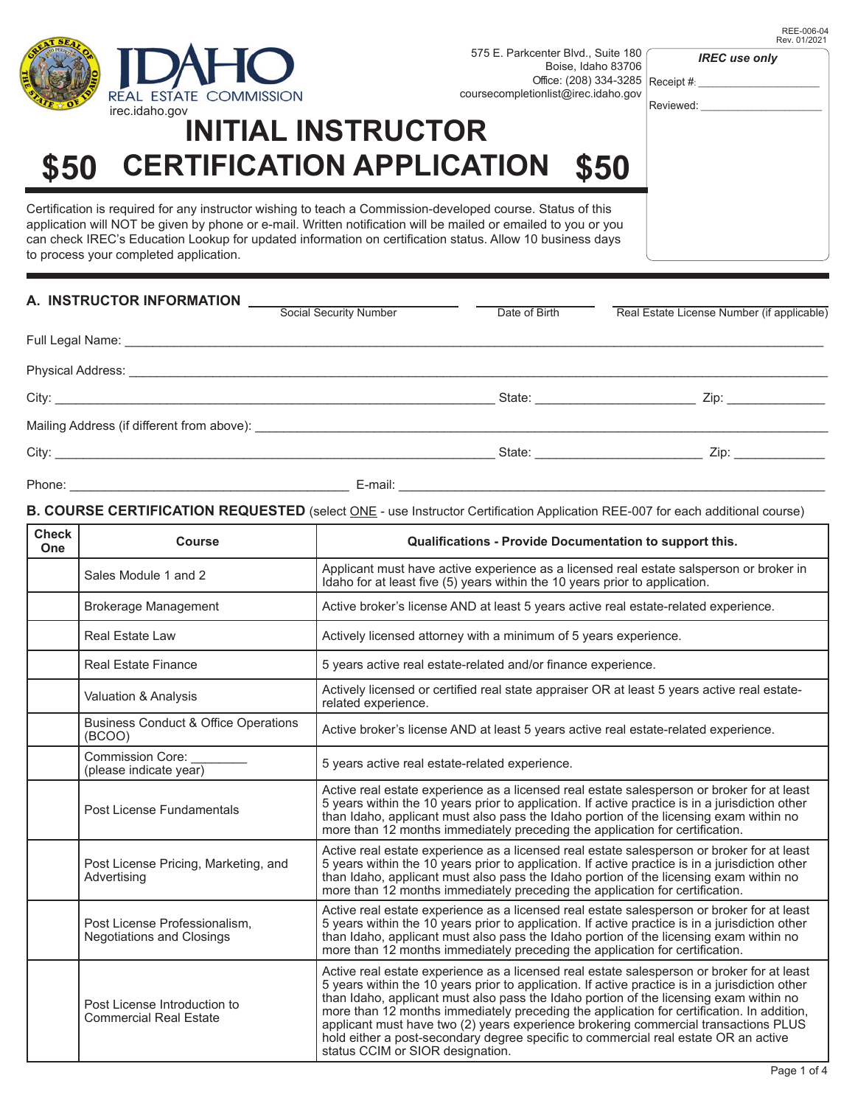

## **INITIAL INSTRUCTOR \$50 CERTIFICATION APPLICATION \$50**

Certification is required for any instructor wishing to teach a Commission-developed course. Status of this application will NOT be given by phone or e-mail. Written notification will be mailed or emailed to you or you can check IREC's Education Lookup for updated information on certification status. Allow 10 business days to process your completed application.

| A. INSTRUCTOR INFORMATION                                                                                                                                                                                                            |                        |               |                                                                                                                                                                                                                                                                      |
|--------------------------------------------------------------------------------------------------------------------------------------------------------------------------------------------------------------------------------------|------------------------|---------------|----------------------------------------------------------------------------------------------------------------------------------------------------------------------------------------------------------------------------------------------------------------------|
|                                                                                                                                                                                                                                      | Social Security Number | Date of Birth | Real Estate License Number (if applicable)                                                                                                                                                                                                                           |
|                                                                                                                                                                                                                                      |                        |               |                                                                                                                                                                                                                                                                      |
|                                                                                                                                                                                                                                      |                        |               |                                                                                                                                                                                                                                                                      |
|                                                                                                                                                                                                                                      |                        |               | State: <u>____________________</u><br>Zip: the contract of the contract of the contract of the contract of the contract of the contract of the contract of the contract of the contract of the contract of the contract of the contract of the contract of the contr |
| Mailing Address (if different from above): <b>example 20 years and 20 years and 20 years and 20 years and 20 years and 20 years and 20 years and 20 years and 20 years and 20 years and 20 years and 20 years and 20 years and 2</b> |                        |               |                                                                                                                                                                                                                                                                      |
|                                                                                                                                                                                                                                      |                        |               | State: Zip: Zip:                                                                                                                                                                                                                                                     |
| Phone:<br><u> 1989 - Johann Stoff, deutscher Stoffen und der Stoffen und der Stoffen und der Stoffen und der Stoffen und der</u>                                                                                                     | E-mail:                |               |                                                                                                                                                                                                                                                                      |

#### **B. COURSE CERTIFICATION REQUESTED** (select ONE - use Instructor Certification Application REE-007 for each additional course)

| <b>Check</b><br>One | <b>Course</b>                                                     | Qualifications - Provide Documentation to support this.                                                                                                                                                                                                                                                                                                                                                                                                                                                                                                                                                |  |
|---------------------|-------------------------------------------------------------------|--------------------------------------------------------------------------------------------------------------------------------------------------------------------------------------------------------------------------------------------------------------------------------------------------------------------------------------------------------------------------------------------------------------------------------------------------------------------------------------------------------------------------------------------------------------------------------------------------------|--|
|                     | Sales Module 1 and 2                                              | Applicant must have active experience as a licensed real estate salsperson or broker in<br>Idaho for at least five (5) years within the 10 years prior to application.                                                                                                                                                                                                                                                                                                                                                                                                                                 |  |
|                     | <b>Brokerage Management</b>                                       | Active broker's license AND at least 5 years active real estate-related experience.                                                                                                                                                                                                                                                                                                                                                                                                                                                                                                                    |  |
|                     | <b>Real Estate Law</b>                                            | Actively licensed attorney with a minimum of 5 years experience.                                                                                                                                                                                                                                                                                                                                                                                                                                                                                                                                       |  |
|                     | <b>Real Estate Finance</b>                                        | 5 years active real estate-related and/or finance experience.                                                                                                                                                                                                                                                                                                                                                                                                                                                                                                                                          |  |
|                     | Valuation & Analysis                                              | Actively licensed or certified real state appraiser OR at least 5 years active real estate-<br>related experience.                                                                                                                                                                                                                                                                                                                                                                                                                                                                                     |  |
|                     | <b>Business Conduct &amp; Office Operations</b><br>(BCOO)         | Active broker's license AND at least 5 years active real estate-related experience.                                                                                                                                                                                                                                                                                                                                                                                                                                                                                                                    |  |
|                     | <b>Commission Core:</b><br>(please indicate year)                 | 5 years active real estate-related experience.                                                                                                                                                                                                                                                                                                                                                                                                                                                                                                                                                         |  |
|                     | Post License Fundamentals                                         | Active real estate experience as a licensed real estate salesperson or broker for at least<br>5 years within the 10 years prior to application. If active practice is in a jurisdiction other<br>than Idaho, applicant must also pass the Idaho portion of the licensing exam within no<br>more than 12 months immediately preceding the application for certification.                                                                                                                                                                                                                                |  |
|                     | Post License Pricing, Marketing, and<br>Advertising               | Active real estate experience as a licensed real estate salesperson or broker for at least<br>5 years within the 10 years prior to application. If active practice is in a jurisdiction other<br>than Idaho, applicant must also pass the Idaho portion of the licensing exam within no<br>more than 12 months immediately preceding the application for certification.                                                                                                                                                                                                                                |  |
|                     | Post License Professionalism,<br><b>Negotiations and Closings</b> | Active real estate experience as a licensed real estate salesperson or broker for at least<br>5 years within the 10 years prior to application. If active practice is in a jurisdiction other<br>than Idaho, applicant must also pass the Idaho portion of the licensing exam within no<br>more than 12 months immediately preceding the application for certification.                                                                                                                                                                                                                                |  |
|                     | Post License Introduction to<br><b>Commercial Real Estate</b>     | Active real estate experience as a licensed real estate salesperson or broker for at least<br>5 years within the 10 years prior to application. If active practice is in a jurisdiction other<br>than Idaho, applicant must also pass the Idaho portion of the licensing exam within no<br>more than 12 months immediately preceding the application for certification. In addition,<br>applicant must have two (2) years experience brokering commercial transactions PLUS<br>hold either a post-secondary degree specific to commercial real estate OR an active<br>status CCIM or SIOR designation. |  |

*IREC use only*

Receipt #: Reviewed: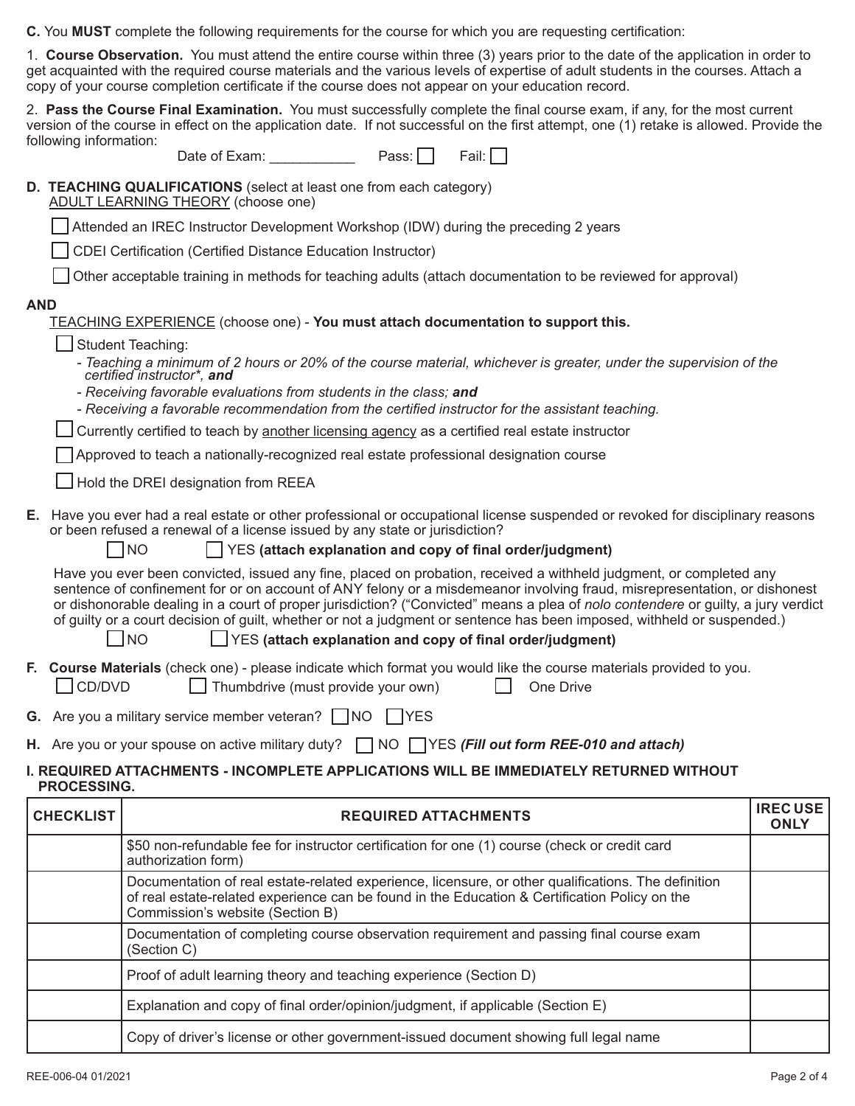**C.** You **MUST** complete the following requirements for the course for which you are requesting certification:

1. **Course Observation.** You must attend the entire course within three (3) years prior to the date of the application in order to get acquainted with the required course materials and the various levels of expertise of adult students in the courses. Attach a copy of your course completion certificate if the course does not appear on your education record.

2. **Pass the Course Final Examination.** You must successfully complete the final course exam, if any, for the most current version of the course in effect on the application date. If not successful on the first attempt, one (1) retake is allowed. Provide the following information:

Date of Exam: Pass: Fail:

#### **D. TEACHING QUALIFICATIONS** (select at least one from each category)

ADULT LEARNING THEORY (choose one)

Attended an IREC Instructor Development Workshop (IDW) during the preceding 2 years

CDEI Certification (Certified Distance Education Instructor)

Other acceptable training in methods for teaching adults (attach documentation to be reviewed for approval)

#### **AND**

TEACHING EXPERIENCE (choose one) - **You must attach documentation to support this.**

- Student Teaching:
	- *Teaching a minimum of 2 hours or 20% of the course material, whichever is greater, under the supervision of the certified instructor\*, and*
	- *Receiving favorable evaluations from students in the class; and*
	- *- Receiving a favorable recommendation from the certified instructor for the assistant teaching.*

Currently certified to teach by another licensing agency as a certified real estate instructor

Approved to teach a nationally-recognized real estate professional designation course

Hold the DREI designation from REEA

**E.** Have you ever had a real estate or other professional or occupational license suspended or revoked for disciplinary reasons or been refused a renewal of a license issued by any state or jurisdiction?

 $\vert$  YES (attach explanation and copy of final order/judgment)

 Have you ever been convicted, issued any fine, placed on probation, received a withheld judgment, or completed any sentence of confinement for or on account of ANY felony or a misdemeanor involving fraud, misrepresentation, or dishonest or dishonorable dealing in a court of proper jurisdiction? ("Convicted" means a plea of *nolo contendere* or guilty, a jury verdict of guilty or a court decision of guilt, whether or not a judgment or sentence has been imposed, withheld or suspended.)

NO YES **(attach explanation and copy of final order/judgment)**

- **F. Course Materials** (check one) please indicate which format you would like the course materials provided to you. CD/DVD Thumbdrive (must provide your own) One Drive
- **G.** Are you a military service member veteran?  $\Box$  NO  $\Box$  YES
- **H.** Are you or your spouse on active military duty? ◯ NO ◯ YES *(Fill out form REE-010 and attach)*

### **I. REQUIRED ATTACHMENTS - INCOMPLETE APPLICATIONS WILL BE IMMEDIATELY RETURNED WITHOUT PROCESSING.**

| <b>CHECKLIST</b> | <b>REQUIRED ATTACHMENTS</b>                                                                                                                                                                                                              | <b>IRECUSE</b><br><b>ONLY</b> |
|------------------|------------------------------------------------------------------------------------------------------------------------------------------------------------------------------------------------------------------------------------------|-------------------------------|
|                  | \$50 non-refundable fee for instructor certification for one (1) course (check or credit card<br>authorization form)                                                                                                                     |                               |
|                  | Documentation of real estate-related experience, licensure, or other qualifications. The definition<br>of real estate-related experience can be found in the Education & Certification Policy on the<br>Commission's website (Section B) |                               |
|                  | Documentation of completing course observation requirement and passing final course exam<br>(Section C)                                                                                                                                  |                               |
|                  | Proof of adult learning theory and teaching experience (Section D)                                                                                                                                                                       |                               |
|                  | Explanation and copy of final order/opinion/judgment, if applicable (Section E)                                                                                                                                                          |                               |
|                  | Copy of driver's license or other government-issued document showing full legal name                                                                                                                                                     |                               |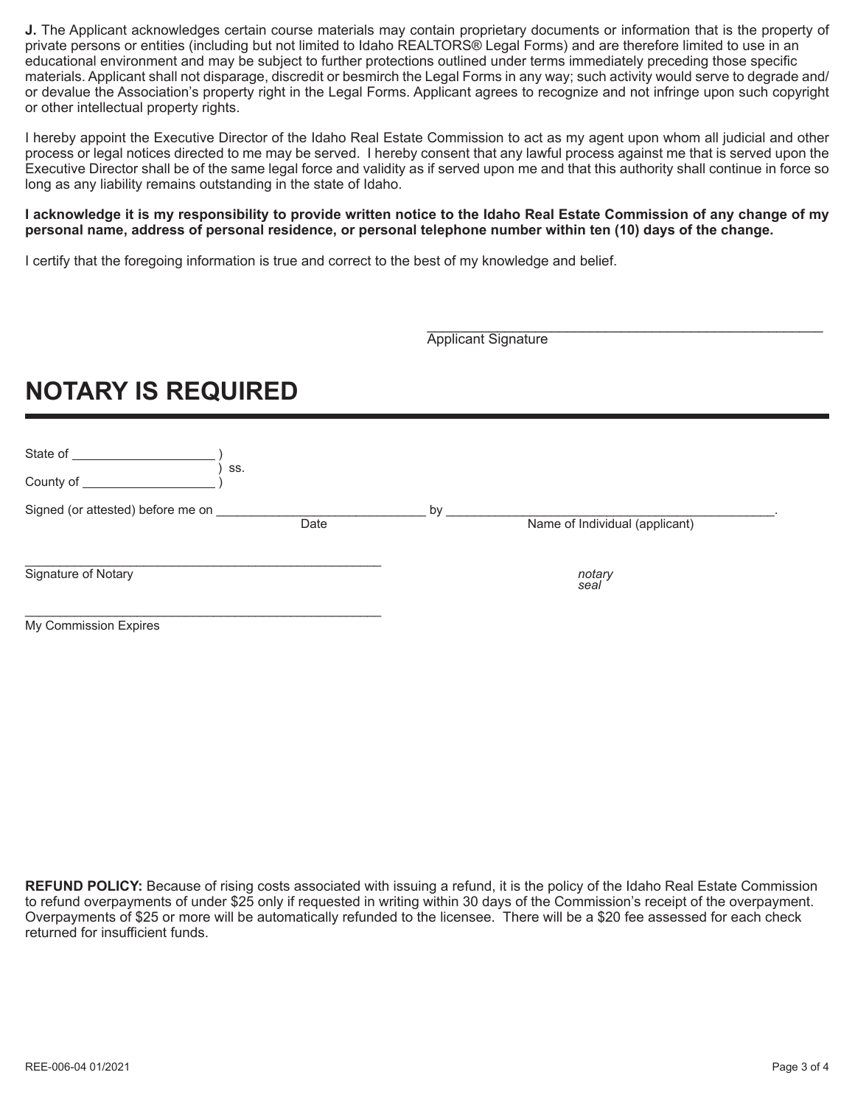**J.** The Applicant acknowledges certain course materials may contain proprietary documents or information that is the property of private persons or entities (including but not limited to Idaho REALTORS® Legal Forms) and are therefore limited to use in an educational environment and may be subject to further protections outlined under terms immediately preceding those specific materials. Applicant shall not disparage, discredit or besmirch the Legal Forms in any way; such activity would serve to degrade and/ or devalue the Association's property right in the Legal Forms. Applicant agrees to recognize and not infringe upon such copyright or other intellectual property rights.

I hereby appoint the Executive Director of the Idaho Real Estate Commission to act as my agent upon whom all judicial and other process or legal notices directed to me may be served. I hereby consent that any lawful process against me that is served upon the Executive Director shall be of the same legal force and validity as if served upon me and that this authority shall continue in force so long as any liability remains outstanding in the state of Idaho.

#### **I acknowledge it is my responsibility to provide written notice to the Idaho Real Estate Commission of any change of my personal name, address of personal residence, or personal telephone number within ten (10) days of the change.**

I certify that the foregoing information is true and correct to the best of my knowledge and belief.

\_\_\_\_\_\_\_\_\_\_\_\_\_\_\_\_\_\_\_\_\_\_\_\_\_\_\_\_\_\_\_\_\_\_\_\_\_\_\_\_\_\_\_\_\_\_\_\_\_\_\_ Applicant Signature

# **NOTARY IS REQUIRED**

| State of                          |      |    |                                |  |
|-----------------------------------|------|----|--------------------------------|--|
| County of                         | SS.  |    |                                |  |
| Signed (or attested) before me on | Date | by | Name of Individual (applicant) |  |
| Signature of Notary               |      |    | notary<br>seal                 |  |
| My Commission Expires             |      |    |                                |  |

**REFUND POLICY:** Because of rising costs associated with issuing a refund, it is the policy of the Idaho Real Estate Commission to refund overpayments of under \$25 only if requested in writing within 30 days of the Commission's receipt of the overpayment. Overpayments of \$25 or more will be automatically refunded to the licensee. There will be a \$20 fee assessed for each check returned for insufficient funds.